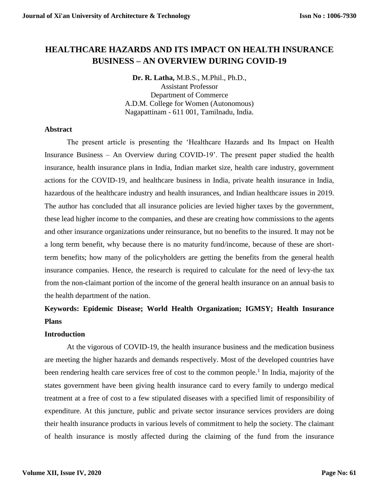# **HEALTHCARE HAZARDS AND ITS IMPACT ON HEALTH INSURANCE BUSINESS – AN OVERVIEW DURING COVID-19**

**Dr. R. Latha,** M.B.S., M.Phil., Ph.D., Assistant Professor Department of Commerce A.D.M. College for Women (Autonomous) Nagapattinam - 611 001, Tamilnadu, India.

# **Abstract**

The present article is presenting the 'Healthcare Hazards and Its Impact on Health Insurance Business – An Overview during COVID-19'. The present paper studied the health insurance, health insurance plans in India, Indian market size, health care industry, government actions for the COVID-19, and healthcare business in India, private health insurance in India, hazardous of the healthcare industry and health insurances, and Indian healthcare issues in 2019. The author has concluded that all insurance policies are levied higher taxes by the government, these lead higher income to the companies, and these are creating how commissions to the agents and other insurance organizations under reinsurance, but no benefits to the insured. It may not be a long term benefit, why because there is no maturity fund/income, because of these are shortterm benefits; how many of the policyholders are getting the benefits from the general health insurance companies. Hence, the research is required to calculate for the need of levy-the tax from the non-claimant portion of the income of the general health insurance on an annual basis to the health department of the nation.

# **Keywords: Epidemic Disease; World Health Organization; IGMSY; Health Insurance Plans**

# **Introduction**

At the vigorous of COVID-19, the health insurance business and the medication business are meeting the higher hazards and demands respectively. Most of the developed countries have been rendering health care services free of cost to the common people.<sup>1</sup> In India, majority of the states government have been giving health insurance card to every family to undergo medical treatment at a free of cost to a few stipulated diseases with a specified limit of responsibility of expenditure. At this juncture, public and private sector insurance services providers are doing their health insurance products in various levels of commitment to help the society. The claimant of health insurance is mostly affected during the claiming of the fund from the insurance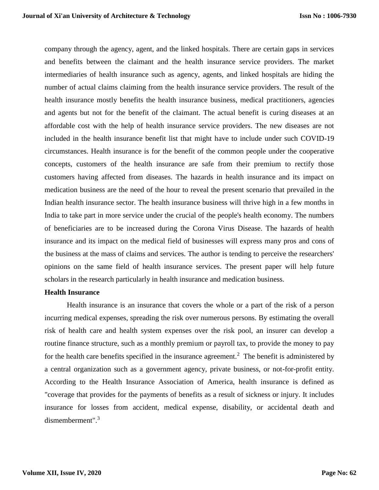company through the agency, agent, and the linked hospitals. There are certain gaps in services and benefits between the claimant and the health insurance service providers. The market intermediaries of health insurance such as agency, agents, and linked hospitals are hiding the number of actual claims claiming from the health insurance service providers. The result of the health insurance mostly benefits the health insurance business, medical practitioners, agencies and agents but not for the benefit of the claimant. The actual benefit is curing diseases at an affordable cost with the help of health insurance service providers. The new diseases are not included in the health insurance benefit list that might have to include under such COVID-19 circumstances. Health insurance is for the benefit of the common people under the cooperative concepts, customers of the health insurance are safe from their premium to rectify those customers having affected from diseases. The hazards in health insurance and its impact on medication business are the need of the hour to reveal the present scenario that prevailed in the Indian health insurance sector. The health insurance business will thrive high in a few months in India to take part in more service under the crucial of the people's health economy. The numbers of beneficiaries are to be increased during the Corona Virus Disease. The hazards of health insurance and its impact on the medical field of businesses will express many pros and cons of the business at the mass of claims and services. The author is tending to perceive the researchers' opinions on the same field of health insurance services. The present paper will help future scholars in the research particularly in health insurance and medication business.

# **Health Insurance**

Health insurance is an insurance that covers the whole or a part of the risk of a person incurring medical expenses, spreading the risk over numerous persons. By estimating the overall risk of health care and health system expenses over the risk pool, an insurer can develop a routine finance structure, such as a monthly premium or payroll tax, to provide the money to pay for the health care benefits specified in the insurance agreement.<sup>2</sup> The benefit is administered by a central organization such as a government agency, private business, or not-for-profit entity. According to the Health Insurance Association of America, health insurance is defined as "coverage that provides for the payments of benefits as a result of sickness or injury. It includes insurance for losses from accident, medical expense, disability, or accidental death and dismemberment".<sup>3</sup>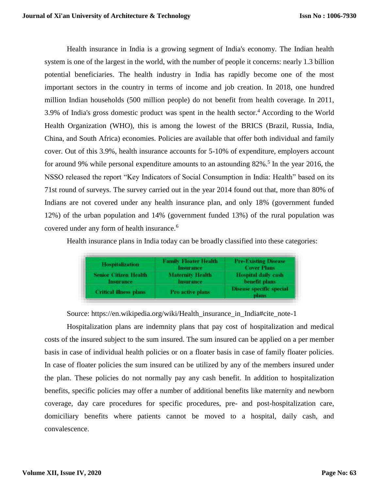Health insurance in India is a growing segment of India's economy. The Indian health system is one of the largest in the world, with the number of people it concerns: nearly 1.3 billion potential beneficiaries. The health industry in India has rapidly become one of the most important sectors in the country in terms of income and job creation. In 2018, one hundred million Indian households (500 million people) do not benefit from health coverage. In 2011, 3.9% of India's gross domestic product was spent in the health sector.<sup>4</sup> According to the World Health Organization (WHO), this is among the lowest of the BRICS (Brazil, Russia, India, China, and South Africa) economies. Policies are available that offer both individual and family cover. Out of this 3.9%, health insurance accounts for 5-10% of expenditure, employers account for around 9% while personal expenditure amounts to an astounding 82%.<sup>5</sup> In the year 2016, the NSSO released the report "Key Indicators of Social Consumption in India: Health" based on its 71st round of surveys. The survey carried out in the year 2014 found out that, more than 80% of Indians are not covered under any health insurance plan, and only 18% (government funded 12%) of the urban population and 14% (government funded 13%) of the rural population was covered under any form of health insurance.<sup>6</sup>

Health insurance plans in India today can be broadly classified into these categories:

| <b>Hospitalization</b>                    | Family Floater Health.<br>Insurance         | <b>Pre-Existing Disease</b><br><b>Cover Plans</b> |
|-------------------------------------------|---------------------------------------------|---------------------------------------------------|
| <b>Senior Citizen Health</b><br>Insurance | <b>Maternity Health</b><br><b>Insurance</b> | Hospital daily cash<br>benefit plans              |
| <b>Critical illness plans</b>             | Pro active plans                            | <b>Disease specific special</b><br>plans          |

Source: https://en.wikipedia.org/wiki/Health\_insurance\_in\_India#cite\_note-1

Hospitalization plans are indemnity plans that pay cost of hospitalization and medical costs of the insured subject to the sum insured. The sum insured can be applied on a per member basis in case of individual health policies or on a floater basis in case of family floater policies. In case of floater policies the sum insured can be utilized by any of the members insured under the plan. These policies do not normally pay any cash benefit. In addition to hospitalization benefits, specific policies may offer a number of additional benefits like maternity and newborn coverage, day care procedures for specific procedures, pre- and post-hospitalization care, domiciliary benefits where patients cannot be moved to a hospital, daily cash, and convalescence.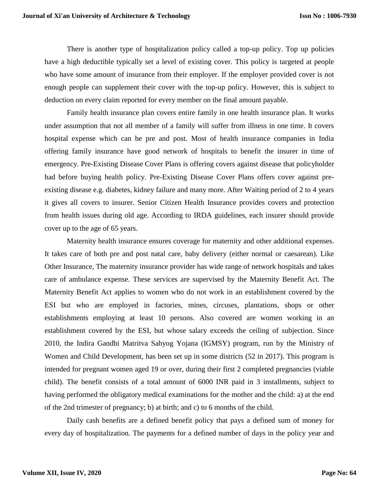There is another type of hospitalization policy called a top-up policy. Top up policies have a high deductible typically set a level of existing cover. This policy is targeted at people who have some amount of insurance from their employer. If the employer provided cover is not enough people can supplement their cover with the top-up policy. However, this is subject to deduction on every claim reported for every member on the final amount payable.

Family health insurance plan covers entire family in one health insurance plan. It works under assumption that not all member of a family will suffer from illness in one time. It covers hospital expense which can be pre and post. Most of health insurance companies in India offering family insurance have good network of hospitals to benefit the insurer in time of emergency. Pre-Existing Disease Cover Plans is offering covers against disease that policyholder had before buying health policy. Pre-Existing Disease Cover Plans offers cover against preexisting disease e.g. diabetes, kidney failure and many more. After Waiting period of 2 to 4 years it gives all covers to insurer. Senior Citizen Health Insurance provides covers and protection from health issues during old age. According to IRDA guidelines, each insurer should provide cover up to the age of 65 years.

Maternity health insurance ensures coverage for maternity and other additional expenses. It takes care of both pre and post natal care, baby delivery (either normal or caesarean). Like Other Insurance, The maternity insurance provider has wide range of network hospitals and takes care of ambulance expense. These services are supervised by the Maternity Benefit Act. The Maternity Benefit Act applies to women who do not work in an establishment covered by the ESI but who are employed in factories, mines, circuses, plantations, shops or other establishments employing at least 10 persons. Also covered are women working in an establishment covered by the ESI, but whose salary exceeds the ceiling of subjection. Since 2010, the Indira Gandhi Matritva Sahyog Yojana (IGMSY) program, run by the Ministry of Women and Child Development, has been set up in some districts (52 in 2017). This program is intended for pregnant women aged 19 or over, during their first 2 completed pregnancies (viable child). The benefit consists of a total amount of 6000 INR paid in 3 installments, subject to having performed the obligatory medical examinations for the mother and the child: a) at the end of the 2nd trimester of pregnancy; b) at birth; and c) to 6 months of the child.

Daily cash benefits are a defined benefit policy that pays a defined sum of money for every day of hospitalization. The payments for a defined number of days in the policy year and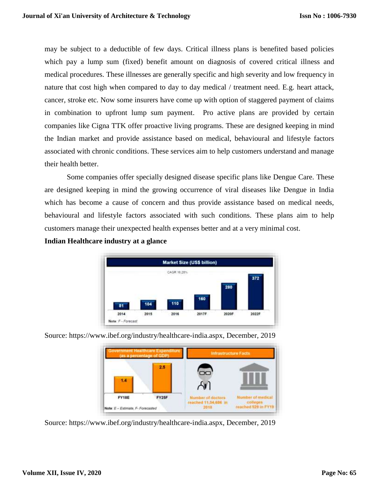may be subject to a deductible of few days. Critical illness plans is benefited based policies which pay a lump sum (fixed) benefit amount on diagnosis of covered critical illness and medical procedures. These illnesses are generally specific and high severity and low frequency in nature that cost high when compared to day to day medical / treatment need. E.g. heart attack, cancer, stroke etc. Now some insurers have come up with option of staggered payment of claims in combination to upfront lump sum payment. Pro active plans are provided by certain companies like Cigna TTK offer proactive living programs. These are designed keeping in mind the Indian market and provide assistance based on medical, behavioural and lifestyle factors associated with chronic conditions. These services aim to help customers understand and manage their health better.

Some companies offer specially designed disease specific plans like Dengue Care. These are designed keeping in mind the growing occurrence of viral diseases like Dengue in India which has become a cause of concern and thus provide assistance based on medical needs, behavioural and lifestyle factors associated with such conditions. These plans aim to help customers manage their unexpected health expenses better and at a very minimal cost.

# **Indian Healthcare industry at a glance**



| <b>Government Healthcare Expenditure</b><br>as a percentage of GDP) |       | <b>Infrastructure Facts</b>                            |                                          |
|---------------------------------------------------------------------|-------|--------------------------------------------------------|------------------------------------------|
| 1.4                                                                 | 2.5   |                                                        |                                          |
| FY18E                                                               | FY25F | Number of doctors<br>reached 11:54,684 in<br>2014 2014 | Number of medical<br>reached 529 in FY19 |

Source: https://www.ibef.org/industry/healthcare-india.aspx, December, 2019

Source: https://www.ibef.org/industry/healthcare-india.aspx, December, 2019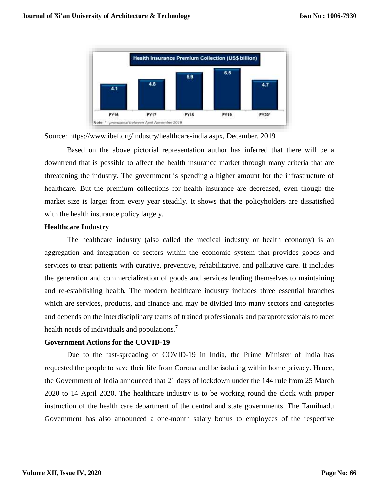

Source: https://www.ibef.org/industry/healthcare-india.aspx, December, 2019

Based on the above pictorial representation author has inferred that there will be a downtrend that is possible to affect the health insurance market through many criteria that are threatening the industry. The government is spending a higher amount for the infrastructure of healthcare. But the premium collections for health insurance are decreased, even though the market size is larger from every year steadily. It shows that the policyholders are dissatisfied with the health insurance policy largely.

### **Healthcare Industry**

The healthcare industry (also called the medical industry or health economy) is an aggregation and integration of sectors within the economic system that provides goods and services to treat patients with curative, preventive, rehabilitative, and palliative care. It includes the generation and commercialization of goods and services lending themselves to maintaining and re-establishing health. The modern healthcare industry includes three essential branches which are services, products, and finance and may be divided into many sectors and categories and depends on the interdisciplinary teams of trained professionals and paraprofessionals to meet health needs of individuals and populations.<sup>7</sup>

# **Government Actions for the COVID-19**

Due to the fast-spreading of COVID-19 in India, the Prime Minister of India has requested the people to save their life from Corona and be isolating within home privacy. Hence, the Government of India announced that 21 days of lockdown under the 144 rule from 25 March 2020 to 14 April 2020. The healthcare industry is to be working round the clock with proper instruction of the health care department of the central and state governments. The Tamilnadu Government has also announced a one-month salary bonus to employees of the respective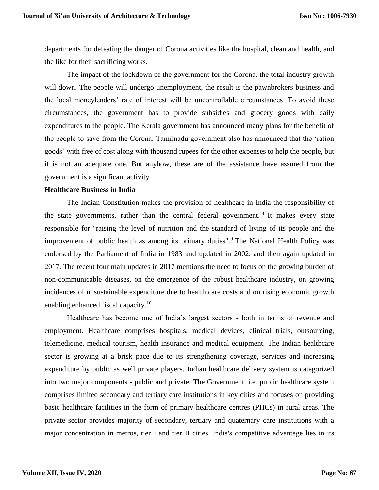departments for defeating the danger of Corona activities like the hospital, clean and health, and the like for their sacrificing works.

The impact of the lockdown of the government for the Corona, the total industry growth will down. The people will undergo unemployment, the result is the pawnbrokers business and the local moneylenders' rate of interest will be uncontrollable circumstances. To avoid these circumstances, the government has to provide subsidies and grocery goods with daily expenditures to the people. The Kerala government has announced many plans for the benefit of the people to save from the Corona. Tamilnadu government also has announced that the 'ration goods' with free of cost along with thousand rupees for the other expenses to help the people, but it is not an adequate one. But anyhow, these are of the assistance have assured from the government is a significant activity.

#### **Healthcare Business in India**

The Indian Constitution makes the provision of healthcare in India the responsibility of the state governments, rather than the central federal government. <sup>8</sup> It makes every state responsible for "raising the level of nutrition and the standard of living of its people and the improvement of public health as among its primary duties".<sup>9</sup> The National Health Policy was endorsed by the Parliament of India in 1983 and updated in 2002, and then again updated in 2017. The recent four main updates in 2017 mentions the need to focus on the growing burden of non-communicable diseases, on the emergence of the robust healthcare industry, on growing incidences of unsustainable expenditure due to health care costs and on rising economic growth enabling enhanced fiscal capacity.<sup>10</sup>

Healthcare has become one of India's largest sectors - both in terms of revenue and employment. Healthcare comprises hospitals, medical devices, clinical trials, outsourcing, telemedicine, medical tourism, health insurance and medical equipment. The Indian healthcare sector is growing at a brisk pace due to its strengthening coverage, services and increasing expenditure by public as well private players. Indian healthcare delivery system is categorized into two major components - public and private. The Government, i.e. public healthcare system comprises limited secondary and tertiary care institutions in key cities and focuses on providing basic healthcare facilities in the form of primary healthcare centres (PHCs) in rural areas. The private sector provides majority of secondary, tertiary and quaternary care institutions with a major concentration in metros, tier I and tier II cities. India's competitive advantage lies in its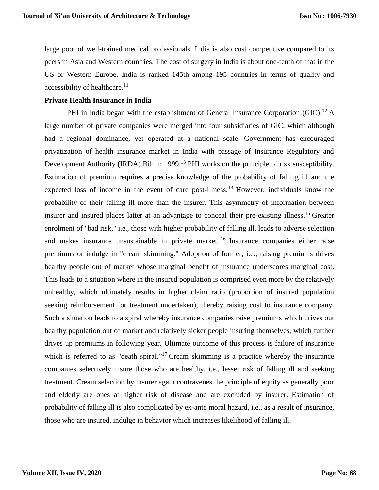large pool of well-trained medical professionals. India is also cost competitive compared to its peers in Asia and Western countries. The cost of surgery in India is about one-tenth of that in the US or Western Europe. India is ranked 145th among 195 countries in terms of quality and  $accessibility$  of healthcare.<sup>11</sup>

# **Private Health Insurance in India**

PHI in India began with the establishment of General Insurance Corporation (GIC).<sup>12</sup> A large number of private companies were merged into four subsidiaries of GIC, which although had a regional dominance, yet operated at a national scale. Government has encouraged privatization of health insurance market in India with passage of Insurance Regulatory and Development Authority (IRDA) Bill in 1999.<sup>13</sup> PHI works on the principle of risk susceptibility. Estimation of premium requires a precise knowledge of the probability of falling ill and the expected loss of income in the event of care post-illness.<sup>14</sup> However, individuals know the probability of their falling ill more than the insurer. This asymmetry of information between insurer and insured places latter at an advantage to conceal their pre-existing illness.<sup>15</sup> Greater enrolment of "bad risk," i.e., those with higher probability of falling ill, leads to adverse selection and makes insurance unsustainable in private market. <sup>16</sup> Insurance companies either raise premiums or indulge in "cream skimming." Adoption of former, i.e., raising premiums drives healthy people out of market whose marginal benefit of insurance underscores marginal cost. This leads to a situation where in the insured population is comprised even more by the relatively unhealthy, which ultimately results in higher claim ratio (proportion of insured population seeking reimbursement for treatment undertaken), thereby raising cost to insurance company. Such a situation leads to a spiral whereby insurance companies raise premiums which drives out healthy population out of market and relatively sicker people insuring themselves, which further drives up premiums in following year. Ultimate outcome of this process is failure of insurance which is referred to as "death spiral."<sup>17</sup> Cream skimming is a practice whereby the insurance companies selectively insure those who are healthy, i.e., lesser risk of falling ill and seeking treatment. Cream selection by insurer again contravenes the principle of equity as generally poor and elderly are ones at higher risk of disease and are excluded by insurer. Estimation of probability of falling ill is also complicated by ex-ante moral hazard, i.e., as a result of insurance, those who are insured, indulge in behavior which increases likelihood of falling ill.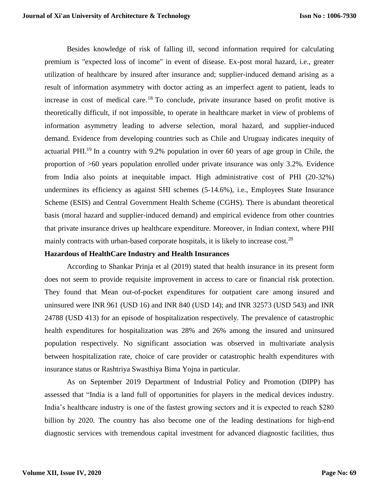Besides knowledge of risk of falling ill, second information required for calculating premium is "expected loss of income" in event of disease. Ex-post moral hazard, i.e., greater utilization of healthcare by insured after insurance and; supplier-induced demand arising as a result of information asymmetry with doctor acting as an imperfect agent to patient, leads to increase in cost of medical care.<sup>18</sup> To conclude, private insurance based on profit motive is theoretically difficult, if not impossible, to operate in healthcare market in view of problems of information asymmetry leading to adverse selection, moral hazard, and supplier-induced demand. Evidence from developing countries such as Chile and Uruguay indicates inequity of actuarial PHI.<sup>19</sup> In a country with 9.2% population in over 60 years of age group in Chile, the proportion of >60 years population enrolled under private insurance was only 3.2%. Evidence from India also points at inequitable impact. High administrative cost of PHI (20-32%) undermines its efficiency as against SHI schemes (5-14.6%), i.e., Employees State Insurance Scheme (ESIS) and Central Government Health Scheme (CGHS). There is abundant theoretical basis (moral hazard and supplier-induced demand) and empirical evidence from other countries that private insurance drives up healthcare expenditure. Moreover, in Indian context, where PHI mainly contracts with urban-based corporate hospitals, it is likely to increase cost.<sup>20</sup>

# **Hazardous of HealthCare Industry and Health Insurances**

According to Shankar Prinja et al (2019) stated that health insurance in its present form does not seem to provide requisite improvement in access to care or financial risk protection. They found that Mean out-of-pocket expenditures for outpatient care among insured and uninsured were INR 961 (USD 16) and INR 840 (USD 14); and INR 32573 (USD 543) and INR 24788 (USD 413) for an episode of hospitalization respectively. The prevalence of catastrophic health expenditures for hospitalization was 28% and 26% among the insured and uninsured population respectively. No significant association was observed in multivariate analysis between hospitalization rate, choice of care provider or catastrophic health expenditures with insurance status or Rashtriya Swasthiya Bima Yojna in particular.

As on September 2019 Department of Industrial Policy and Promotion (DIPP) has assessed that "India is a land full of opportunities for players in the medical devices industry. India's healthcare industry is one of the fastest growing sectors and it is expected to reach \$280 billion by 2020. The country has also become one of the leading destinations for high-end diagnostic services with tremendous capital investment for advanced diagnostic facilities, thus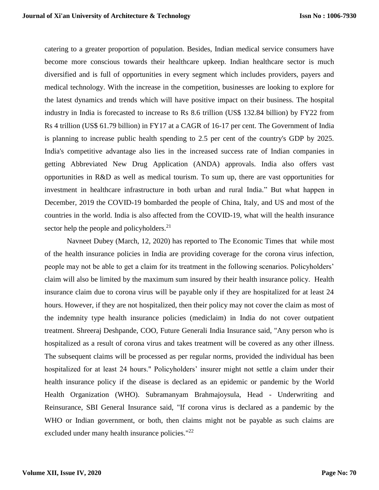catering to a greater proportion of population. Besides, Indian medical service consumers have become more conscious towards their healthcare upkeep. Indian healthcare sector is much diversified and is full of opportunities in every segment which includes providers, payers and medical technology. With the increase in the competition, businesses are looking to explore for the latest dynamics and trends which will have positive impact on their business. The hospital industry in India is forecasted to increase to Rs 8.6 trillion (US\$ 132.84 billion) by FY22 from Rs 4 trillion (US\$ 61.79 billion) in FY17 at a CAGR of 16-17 per cent. The Government of India is planning to increase public health spending to 2.5 per cent of the country's GDP by 2025. India's competitive advantage also lies in the increased success rate of Indian companies in getting Abbreviated New Drug Application (ANDA) approvals. India also offers vast opportunities in R&D as well as medical tourism. To sum up, there are vast opportunities for investment in healthcare infrastructure in both urban and rural India." But what happen in December, 2019 the COVID-19 bombarded the people of China, Italy, and US and most of the countries in the world. India is also affected from the COVID-19, what will the health insurance sector help the people and policyholders. $21$ 

Navneet Dubey (March, 12, 2020) has reported to The Economic Times that while most of the health insurance policies in India are providing coverage for the corona virus infection, people may not be able to get a claim for its treatment in the following scenarios. Policyholders' claim will also be limited by the maximum sum insured by their health insurance policy. Health insurance claim due to corona virus will be payable only if they are hospitalized for at least 24 hours. However, if they are not hospitalized, then their policy may not cover the claim as most of the indemnity type health insurance policies (mediclaim) in India do not cover outpatient treatment. Shreeraj Deshpande, COO, Future Generali India Insurance said, "Any person who is hospitalized as a result of corona virus and takes treatment will be covered as any other illness. The subsequent claims will be processed as per regular norms, provided the individual has been hospitalized for at least 24 hours." Policyholders' insurer might not settle a claim under their health insurance policy if the disease is declared as an epidemic or pandemic by the World Health Organization (WHO). Subramanyam Brahmajoysula, Head - Underwriting and Reinsurance, SBI General Insurance said, "If corona virus is declared as a pandemic by the WHO or Indian government, or both, then claims might not be payable as such claims are excluded under many health insurance policies."<sup>22</sup>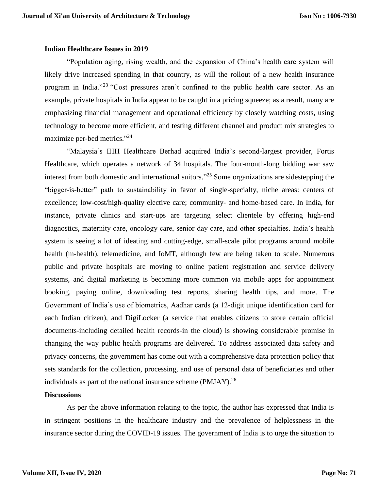### **Indian Healthcare Issues in 2019**

"Population aging, rising wealth, and the expansion of China's health care system will likely drive increased spending in that country, as will the rollout of a new health insurance program in India."<sup>23</sup> "Cost pressures aren't confined to the public health care sector. As an example, private hospitals in India appear to be caught in a pricing squeeze; as a result, many are emphasizing financial management and operational efficiency by closely watching costs, using technology to become more efficient, and testing different channel and product mix strategies to maximize per-bed metrics."<sup>24</sup>

"Malaysia's IHH Healthcare Berhad acquired India's second-largest provider, Fortis Healthcare, which operates a network of 34 hospitals. The four-month-long bidding war saw interest from both domestic and international suitors." <sup>25</sup> Some organizations are sidestepping the "bigger-is-better" path to sustainability in favor of single-specialty, niche areas: centers of excellence; low-cost/high-quality elective care; community- and home-based care. In India, for instance, private clinics and start-ups are targeting select clientele by offering high-end diagnostics, maternity care, oncology care, senior day care, and other specialties. India's health system is seeing a lot of ideating and cutting-edge, small-scale pilot programs around mobile health (m-health), telemedicine, and IoMT, although few are being taken to scale. Numerous public and private hospitals are moving to online patient registration and service delivery systems, and digital marketing is becoming more common via mobile apps for appointment booking, paying online, downloading test reports, sharing health tips, and more. The Government of India's use of biometrics, Aadhar cards (a 12-digit unique identification card for each Indian citizen), and DigiLocker (a service that enables citizens to store certain official documents-including detailed health records-in the cloud) is showing considerable promise in changing the way public health programs are delivered. To address associated data safety and privacy concerns, the government has come out with a comprehensive data protection policy that sets standards for the collection, processing, and use of personal data of beneficiaries and other individuals as part of the national insurance scheme  $(PMJAY)$ <sup>26</sup>

# **Discussions**

As per the above information relating to the topic, the author has expressed that India is in stringent positions in the healthcare industry and the prevalence of helplessness in the insurance sector during the COVID-19 issues. The government of India is to urge the situation to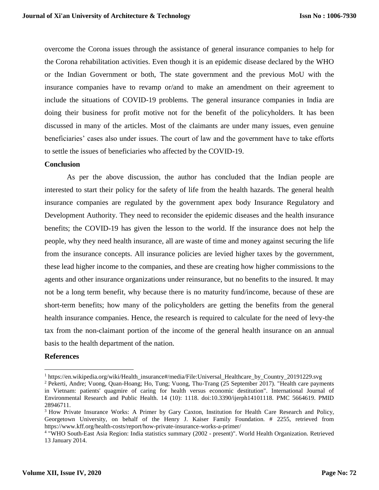overcome the Corona issues through the assistance of general insurance companies to help for the Corona rehabilitation activities. Even though it is an epidemic disease declared by the WHO or the Indian Government or both, The state government and the previous MoU with the insurance companies have to revamp or/and to make an amendment on their agreement to include the situations of COVID-19 problems. The general insurance companies in India are doing their business for profit motive not for the benefit of the policyholders. It has been discussed in many of the articles. Most of the claimants are under many issues, even genuine beneficiaries' cases also under issues. The court of law and the government have to take efforts to settle the issues of beneficiaries who affected by the COVID-19.

# **Conclusion**

As per the above discussion, the author has concluded that the Indian people are interested to start their policy for the safety of life from the health hazards. The general health insurance companies are regulated by the government apex body Insurance Regulatory and Development Authority. They need to reconsider the epidemic diseases and the health insurance benefits; the COVID-19 has given the lesson to the world. If the insurance does not help the people, why they need health insurance, all are waste of time and money against securing the life from the insurance concepts. All insurance policies are levied higher taxes by the government, these lead higher income to the companies, and these are creating how higher commissions to the agents and other insurance organizations under reinsurance, but no benefits to the insured. It may not be a long term benefit, why because there is no maturity fund/income, because of these are short-term benefits; how many of the policyholders are getting the benefits from the general health insurance companies. Hence, the research is required to calculate for the need of levy-the tax from the non-claimant portion of the income of the general health insurance on an annual basis to the health department of the nation.

# **References**

 $\overline{\phantom{a}}$ 

 $1$  https://en.wikipedia.org/wiki/Health\_insurance#/media/File:Universal\_Healthcare\_by\_Country\_20191229.svg

<sup>2</sup> Pekerti, Andre; Vuong, Quan-Hoang; Ho, Tung; Vuong, Thu-Trang (25 September 2017). "Health care payments in Vietnam: patients' quagmire of caring for health versus economic destitution". International Journal of Environmental Research and Public Health. 14 (10): 1118. doi:10.3390/ijerph14101118. PMC 5664619. PMID 28946711.

<sup>&</sup>lt;sup>3</sup> How Private Insurance Works: A Primer by Gary Caxton, Institution for Health Care Research and Policy, Georgetown University, on behalf of the Henry J. Kaiser Family Foundation. # 2255, retrieved from https://www.kff.org/health-costs/report/how-private-insurance-works-a-primer/

<sup>4</sup> "WHO South-East Asia Region: India statistics summary (2002 - present)". World Health Organization. Retrieved 13 January 2014.